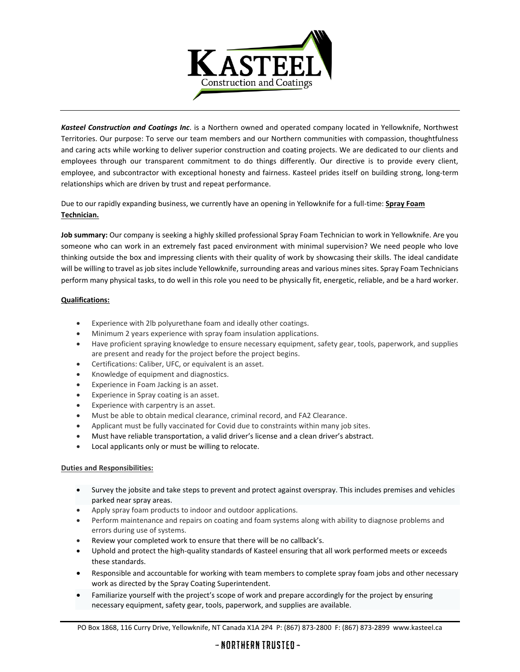

*Kasteel Construction and Coatings Inc*. is a Northern owned and operated company located in Yellowknife, Northwest Territories. Our purpose: To serve our team members and our Northern communities with compassion, thoughtfulness and caring acts while working to deliver superior construction and coating projects. We are dedicated to our clients and employees through our transparent commitment to do things differently. Our directive is to provide every client, employee, and subcontractor with exceptional honesty and fairness. Kasteel prides itself on building strong, long-term relationships which are driven by trust and repeat performance.

Due to our rapidly expanding business, we currently have an opening in Yellowknife for a full-time: **Spray Foam Technician.**

**Job summary:** Our company is seeking a highly skilled professional Spray Foam Technician to work in Yellowknife. Are you someone who can work in an extremely fast paced environment with minimal supervision? We need people who love thinking outside the box and impressing clients with their quality of work by showcasing their skills. The ideal candidate will be willing to travel as job sites include Yellowknife, surrounding areas and various mines sites. Spray Foam Technicians perform many physical tasks, to do well in this role you need to be physically fit, energetic, reliable, and be a hard worker.

## **Qualifications:**

- Experience with 2lb polyurethane foam and ideally other coatings.
- Minimum 2 years experience with spray foam insulation applications.
- Have proficient spraying knowledge to ensure necessary equipment, safety gear, tools, paperwork, and supplies are present and ready for the project before the project begins.
- Certifications: Caliber, UFC, or equivalent is an asset.
- Knowledge of equipment and diagnostics.
- Experience in Foam Jacking is an asset.
- Experience in Spray coating is an asset.
- Experience with carpentry is an asset.
- Must be able to obtain medical clearance, criminal record, and FA2 Clearance.
- Applicant must be fully vaccinated for Covid due to constraints within many job sites.
- Must have reliable transportation, a valid driver's license and a clean driver's abstract.
- Local applicants only or must be willing to relocate.

## **Duties and Responsibilities:**

- Survey the jobsite and take steps to prevent and protect against overspray. This includes premises and vehicles parked near spray areas.
- Apply spray foam products to indoor and outdoor applications.
- Perform maintenance and repairs on coating and foam systems along with ability to diagnose problems and errors during use of systems.
- Review your completed work to ensure that there will be no callback's.
- Uphold and protect the high-quality standards of Kasteel ensuring that all work performed meets or exceeds these standards.
- Responsible and accountable for working with team members to complete spray foam jobs and other necessary work as directed by the Spray Coating Superintendent.
- Familiarize yourself with the project's scope of work and prepare accordingly for the project by ensuring necessary equipment, safety gear, tools, paperwork, and supplies are available.